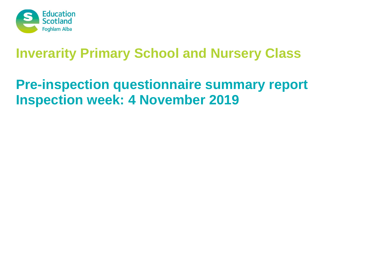

# **Pre-inspection questionnaire summary report Inspection week: 4 November 2019**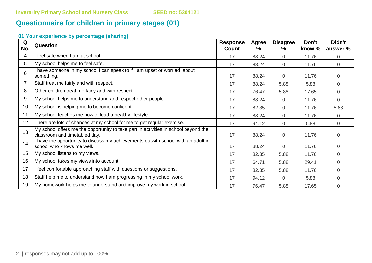# **Questionnaire for children in primary stages (01)**

## **01 Your experience by percentage (sharing)**

| Q<br>No. | <b>Question</b>                                                                                                      | <b>Response</b><br><b>Count</b> | Agree<br>$\%$ | <b>Disagree</b><br>$\%$ | Don't<br>know % | Didn't<br>answer % |
|----------|----------------------------------------------------------------------------------------------------------------------|---------------------------------|---------------|-------------------------|-----------------|--------------------|
| 4        | I feel safe when I am at school.                                                                                     | 17                              | 88.24         | 0                       | 11.76           | $\overline{0}$     |
| 5        | My school helps me to feel safe.                                                                                     | 17                              | 88.24         | 0                       | 11.76           | $\overline{0}$     |
| 6        | I have someone in my school I can speak to if I am upset or worried about<br>something.                              | 17                              | 88.24         | 0                       | 11.76           | $\overline{0}$     |
|          | Staff treat me fairly and with respect.                                                                              | 17                              | 88.24         | 5.88                    | 5.88            | $\overline{0}$     |
| 8        | Other children treat me fairly and with respect.                                                                     | 17                              | 76.47         | 5.88                    | 17.65           | $\overline{0}$     |
| 9        | My school helps me to understand and respect other people.                                                           | 17                              | 88.24         | 0                       | 11.76           | $\overline{0}$     |
| 10       | My school is helping me to become confident.                                                                         | 17                              | 82.35         | 0                       | 11.76           | 5.88               |
| 11       | My school teaches me how to lead a healthy lifestyle.                                                                | 17                              | 88.24         | $\overline{0}$          | 11.76           | $\overline{0}$     |
| 12       | There are lots of chances at my school for me to get regular exercise.                                               | 17                              | 94.12         | 0                       | 5.88            | $\overline{0}$     |
| 13       | My school offers me the opportunity to take part in activities in school beyond the<br>classroom and timetabled day. | 17                              | 88.24         | 0                       | 11.76           | $\overline{0}$     |
| 14       | I have the opportunity to discuss my achievements outwith school with an adult in<br>school who knows me well.       | 17                              | 88.24         | $\overline{0}$          | 11.76           | 0                  |
| 15       | My school listens to my views.                                                                                       | 17                              | 82.35         | 5.88                    | 11.76           | $\overline{0}$     |
| 16       | My school takes my views into account.                                                                               | 17                              | 64.71         | 5.88                    | 29.41           | $\overline{0}$     |
| 17       | I feel comfortable approaching staff with questions or suggestions.                                                  | 17                              | 82.35         | 5.88                    | 11.76           | $\overline{0}$     |
| 18       | Staff help me to understand how I am progressing in my school work.                                                  | 17                              | 94.12         | $\Omega$                | 5.88            | $\overline{0}$     |
| 19       | My homework helps me to understand and improve my work in school.                                                    | 17                              | 76.47         | 5.88                    | 17.65           | $\mathbf 0$        |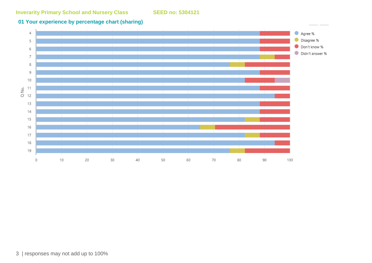#### **01 Your experience by percentage chart (sharing)**

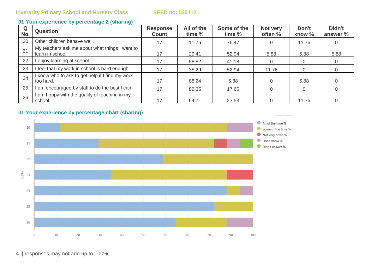#### **01 Your experience by percentage 2 (sharing)**

| Q<br>No. | <b>Question</b>                                                    | <b>Response</b><br><b>Count</b> | All of the<br>time % | Some of the<br>time % | Not very<br>often % | Don't<br>know % | Didn't<br>answer % |
|----------|--------------------------------------------------------------------|---------------------------------|----------------------|-----------------------|---------------------|-----------------|--------------------|
| 20       | Other children behave well.                                        | 17                              | 11.76                | 76.47                 | $\overline{0}$      | 11.76           |                    |
| 21       | My teachers ask me about what things I want to<br>learn in school. | 17                              | 29.41                | 52.94                 | 5.88                | 5.88            | 5.88               |
| 22       | enjoy learning at school.                                          | 17                              | 58.82                | 41.18                 | 0                   | 0               |                    |
| 23       | I feel that my work in school is hard enough.                      | 17                              | 35.29                | 52.94                 | 11.76               | 0               |                    |
| 24       | I know who to ask to get help if I find my work<br>too hard.       | 17                              | 88.24                | 5.88                  | 0                   | 5.88            |                    |
| 25       | am encouraged by staff to do the best I can.                       | 17                              | 82.35                | 17.65                 | 0                   | $\overline{0}$  |                    |
| 26       | am happy with the quality of teaching in my<br>school.             | 17                              | 64.71                | 23.53                 |                     | 11.76           |                    |

## **01 Your experience by percentage chart (sharing)**

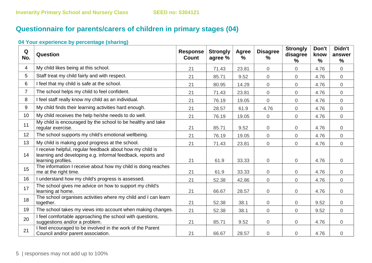# **Questionnaire for parents/carers of children in primary stages (04)**

#### **04 Your experience by percentage (sharing)**

| Q<br>No.       | Question                                                                                                                                       | <b>Response</b><br><b>Count</b> | <b>Strongly</b><br>agree % | Agree<br>$\%$ | <b>Disagree</b><br>$\frac{9}{6}$ | <b>Strongly</b><br>disagree<br>$\%$ | Don't<br>know<br>$\frac{9}{6}$ | Didn't<br>answer<br>$\frac{9}{6}$ |
|----------------|------------------------------------------------------------------------------------------------------------------------------------------------|---------------------------------|----------------------------|---------------|----------------------------------|-------------------------------------|--------------------------------|-----------------------------------|
| $\overline{4}$ | My child likes being at this school.                                                                                                           | 21                              | 71.43                      | 23.81         | $\overline{0}$                   | 0                                   | 4.76                           | $\mathbf 0$                       |
| 5              | Staff treat my child fairly and with respect.                                                                                                  | 21                              | 85.71                      | 9.52          | $\mathbf 0$                      | $\overline{0}$                      | 4.76                           | $\overline{0}$                    |
| 6              | I feel that my child is safe at the school.                                                                                                    | 21                              | 80.95                      | 14.29         | $\overline{0}$                   | 0                                   | 4.76                           | $\overline{0}$                    |
| $\overline{7}$ | The school helps my child to feel confident.                                                                                                   | 21                              | 71.43                      | 23.81         | $\overline{0}$                   | 0                                   | 4.76                           | $\overline{0}$                    |
| 8              | I feel staff really know my child as an individual.                                                                                            | 21                              | 76.19                      | 19.05         | 0                                | 0                                   | 4.76                           | $\overline{0}$                    |
| 9              | My child finds their learning activities hard enough.                                                                                          | 21                              | 28.57                      | 61.9          | 4.76                             | 0                                   | 4.76                           | $\mathbf 0$                       |
| 10             | My child receives the help he/she needs to do well.                                                                                            | 21                              | 76.19                      | 19.05         | $\overline{0}$                   | 0                                   | 4.76                           | $\overline{0}$                    |
| 11             | My child is encouraged by the school to be healthy and take<br>regular exercise.                                                               | 21                              | 85.71                      | 9.52          | $\mathsf{O}\xspace$              | 0                                   | 4.76                           | $\boldsymbol{0}$                  |
| 12             | The school supports my child's emotional wellbeing.                                                                                            | 21                              | 76.19                      | 19.05         | $\overline{0}$                   | 0                                   | 4.76                           | $\overline{0}$                    |
| 13             | My child is making good progress at the school.                                                                                                | 21                              | 71.43                      | 23.81         | $\overline{0}$                   | 0                                   | 4.76                           | $\overline{0}$                    |
| 14             | I receive helpful, regular feedback about how my child is<br>learning and developing e.g. informal feedback, reports and<br>learning profiles. | 21                              | 61.9                       | 33.33         | $\mathbf 0$                      | 0                                   | 4.76                           | $\overline{0}$                    |
| 15             | The information I receive about how my child is doing reaches<br>me at the right time.                                                         | 21                              | 61.9                       | 33.33         | $\boldsymbol{0}$                 | 0                                   | 4.76                           | $\overline{0}$                    |
| 16             | I understand how my child's progress is assessed.                                                                                              | 21                              | 52.38                      | 42.86         | $\overline{0}$                   | 0                                   | 4.76                           | $\overline{0}$                    |
| 17             | The school gives me advice on how to support my child's<br>learning at home.                                                                   | 21                              | 66.67                      | 28.57         | $\overline{0}$                   | 0                                   | 4.76                           | $\overline{0}$                    |
| 18             | The school organises activities where my child and I can learn<br>together.                                                                    | 21                              | 52.38                      | 38.1          | $\boldsymbol{0}$                 | 0                                   | 9.52                           | $\overline{0}$                    |
| 19             | The school takes my views into account when making changes.                                                                                    | 21                              | 52.38                      | 38.1          | $\mathbf 0$                      | $\overline{0}$                      | 9.52                           | $\overline{0}$                    |
| 20             | I feel comfortable approaching the school with questions,<br>suggestions and/or a problem.                                                     | 21                              | 85.71                      | 9.52          | $\mathbf 0$                      | 0                                   | 4.76                           | $\overline{0}$                    |
| 21             | I feel encouraged to be involved in the work of the Parent<br>Council and/or parent association.                                               | 21                              | 66.67                      | 28.57         | $\boldsymbol{0}$                 | 0                                   | 4.76                           | $\mathbf 0$                       |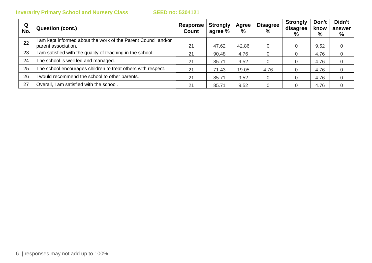| Q<br>No. | <b>Question (cont.)</b>                                                             | Response<br><b>Count</b> | <b>Strongly</b><br>agree % | Agree<br>% | <b>Disagree</b><br>$\frac{0}{0}$ | <b>Strongly</b><br>disagree<br>% | Don't<br>know<br>% | Didn't<br>answer<br>% |
|----------|-------------------------------------------------------------------------------------|--------------------------|----------------------------|------------|----------------------------------|----------------------------------|--------------------|-----------------------|
| 22       | am kept informed about the work of the Parent Council and/or<br>parent association. | 21                       | 47.62                      | 42.86      | $\Omega$                         |                                  | 9.52               | 0                     |
| 23       | am satisfied with the quality of teaching in the school.                            | 21                       | 90.48                      | 4.76       |                                  |                                  | 4.76               | 0                     |
| 24       | The school is well led and managed.                                                 | 21                       | 85.71                      | 9.52       |                                  |                                  | 4.76               | 0                     |
| 25       | The school encourages children to treat others with respect.                        | 21                       | 71.43                      | 19.05      | 4.76                             |                                  | 4.76               | 0                     |
| 26       | would recommend the school to other parents.                                        | 21                       | 85.71                      | 9.52       | $\Omega$                         |                                  | 4.76               | 0                     |
| 27       | Overall, I am satisfied with the school.                                            | 21                       | 85.71                      | 9.52       |                                  |                                  | 4.76               |                       |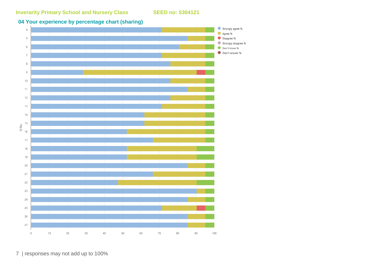## **04 Your experience by percentage chart (sharing)**



7 | responses may not add up to 100%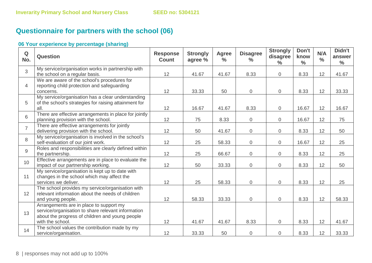# **Questionnaire for partners with the school (06)**

#### **06 Your experience by percentage (sharing)**

| Q<br>No.       | Question                                                                                                                                                             | <b>Response</b><br><b>Count</b> | <b>Strongly</b><br>agree % | <b>Agree</b><br>$\frac{9}{6}$ | <b>Disagree</b><br>$\frac{6}{6}$ | <b>Strongly</b><br>disagree<br>$\frac{0}{0}$ | Don't<br>know<br>$\frac{0}{0}$ | N/A<br>$\frac{0}{0}$ | Didn't<br>answer<br>$\frac{0}{0}$ |
|----------------|----------------------------------------------------------------------------------------------------------------------------------------------------------------------|---------------------------------|----------------------------|-------------------------------|----------------------------------|----------------------------------------------|--------------------------------|----------------------|-----------------------------------|
| 3              | My service/organisation works in partnership with<br>the school on a regular basis.                                                                                  | 12                              | 41.67                      | 41.67                         | 8.33                             | $\overline{0}$                               | 8.33                           | 12                   | 41.67                             |
| $\overline{4}$ | We are aware of the school's procedures for<br>reporting child protection and safeguarding<br>concerns.                                                              | 12                              | 33.33                      | 50                            | $\overline{0}$                   | $\overline{0}$                               | 8.33                           | 12                   | 33.33                             |
| 5              | My service/organisation has a clear understanding<br>of the school's strategies for raising attainment for<br>all.                                                   | 12                              | 16.67                      | 41.67                         | 8.33                             | $\overline{0}$                               | 16.67                          | 12                   | 16.67                             |
| 6              | There are effective arrangements in place for jointly<br>planning provision with the school.                                                                         | 12                              | 75                         | 8.33                          | $\overline{0}$                   | $\overline{0}$                               | 16.67                          | 12                   | 75                                |
| $\overline{7}$ | There are effective arrangements for jointly<br>delivering provision with the school.                                                                                | 12                              | 50                         | 41.67                         | $\overline{0}$                   | $\overline{0}$                               | 8.33                           | 12                   | 50                                |
| 8              | My service/organisation is involved in the school's<br>self-evaluation of our joint work.                                                                            | 12                              | 25                         | 58.33                         | $\overline{0}$                   | $\overline{0}$                               | 16.67                          | 12                   | 25                                |
| 9              | Roles and responsibilities are clearly defined within<br>the partnership.                                                                                            | 12                              | 25                         | 66.67                         | $\overline{0}$                   | $\overline{0}$                               | 8.33                           | 12                   | 25                                |
| 10             | Effective arrangements are in place to evaluate the<br>impact of our partnership working.                                                                            | 12                              | 50                         | 33.33                         | $\overline{0}$                   | $\overline{0}$                               | 8.33                           | 12                   | 50                                |
| 11             | My service/organisation is kept up to date with<br>changes in the school which may affect the<br>services we deliver.                                                | 12                              | 25                         | 58.33                         | $\overline{0}$                   | $\overline{0}$                               | 8.33                           | 12                   | 25                                |
| 12             | The school provides my service/organisation with<br>relevant information about the needs of children<br>and young people.                                            | 12                              | 58.33                      | 33.33                         | $\overline{0}$                   | $\overline{0}$                               | 8.33                           | 12                   | 58.33                             |
| 13             | Arrangements are in place to support my<br>service/organisation to share relevant information<br>about the progress of children and young people<br>with the school. | 12                              | 41.67                      | 41.67                         | 8.33                             | $\overline{0}$                               | 8.33                           | 12                   | 41.67                             |
| 14             | The school values the contribution made by my<br>service/organisation.                                                                                               | 12                              | 33.33                      | 50                            | $\overline{0}$                   | $\overline{0}$                               | 8.33                           | 12                   | 33.33                             |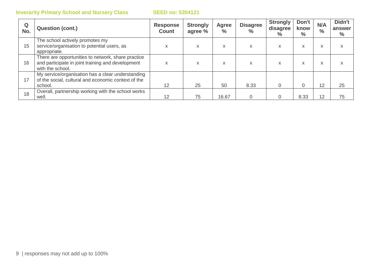| Q<br>No. | <b>Question (cont.)</b>                                                                                                     | <b>Response</b><br><b>Count</b> | <b>Strongly</b><br>agree % | <b>Agree</b><br>$\frac{6}{6}$ | <b>Disagree</b><br>$\%$ | <b>Strongly</b><br>disagree<br>$\%$ | Don't<br>know<br>$\%$ | N/A<br>$\frac{0}{0}$ | Didn't<br>answer<br>$\%$ |
|----------|-----------------------------------------------------------------------------------------------------------------------------|---------------------------------|----------------------------|-------------------------------|-------------------------|-------------------------------------|-----------------------|----------------------|--------------------------|
| 15       | The school actively promotes my<br>service/organisation to potential users, as<br>appropriate.                              | X                               | x                          | X.                            | X                       | X                                   | X                     | X                    | x                        |
| 16       | There are opportunities to network, share practice<br>and participate in joint training and development<br>with the school. | x                               | x                          | X                             | X                       | x                                   | X                     | X                    | X                        |
| 17       | My service/organisation has a clear understanding<br>of the social, cultural and economic context of the<br>school.         | 12                              | 25                         | 50                            | 8.33                    | 0                                   |                       | 12                   | 25                       |
| 18       | Overall, partnership working with the school works<br>well.                                                                 | 12                              | 75                         | 16.67                         |                         | 0                                   | 8.33                  | 12                   | 75                       |